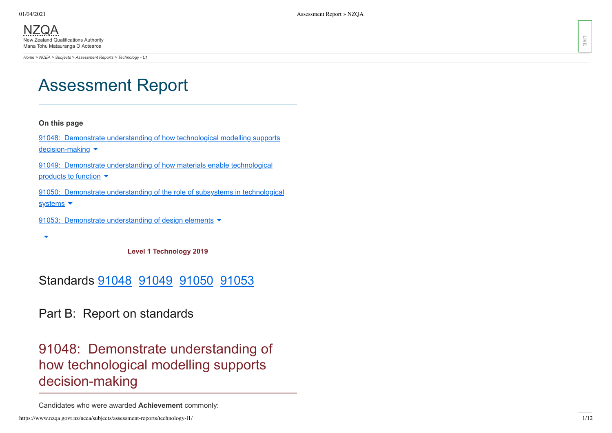[NZQA](https://www.nzqa.govt.nz/) New Zealand Qualifications Authority Mana Tohu Matauranga O Aotearoa

*[Home](https://www.nzqa.govt.nz/home) > [NCEA](https://www.nzqa.govt.nz/ncea/) > [Subjects](https://www.nzqa.govt.nz/ncea/subjects/) > [Assessment Reports](https://www.nzqa.govt.nz/ncea/subjects/assessment-reports/) > Technology - L1*

# Assessment Report

## **On this page**

91048: Demonstrate understanding of how technological modelling supports [decision-making](https://www.nzqa.govt.nz/ncea/subjects/assessment-reports/technology-l1/#heading2-0) ▼

91049: Demonstrate [understanding](https://www.nzqa.govt.nz/ncea/subjects/assessment-reports/technology-l1/#heading2-1) of how materials enable technological products to function  $\blacktriangleright$ 

91050: Demonstrate [understanding](https://www.nzqa.govt.nz/ncea/subjects/assessment-reports/technology-l1/#heading2-2) of the role of subsystems in technological systems ▼

91053: Demonstrate [understanding](https://www.nzqa.govt.nz/ncea/subjects/assessment-reports/technology-l1/#heading2-3) of design elements

 $\overline{a}$ 

**Level 1 Technology 2019**

## Standards [91048](https://www.nzqa.govt.nz/ncea/subjects/assessment-reports/technology-l1/#91048) [91049](https://www.nzqa.govt.nz/ncea/subjects/assessment-reports/technology-l1/#91049) [91050](https://www.nzqa.govt.nz/ncea/subjects/assessment-reports/technology-l1/#91050) [91053](https://www.nzqa.govt.nz/ncea/subjects/assessment-reports/technology-l1/#91053)

Part B: Report on standards

# 91048: Demonstrate understanding of how technological modelling supports decision-making

Candidates who were awarded **Achievement** commonly:

**LIVE**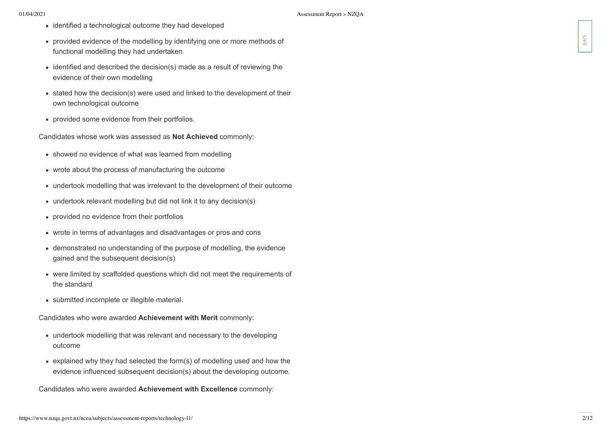- identified a technological outcome they had developed
- provided evidence of the modelling by identifying one or more methods of functional modelling they had undertaken
- identified and described the decision(s) made as a result of reviewing the evidence of their own modelling
- stated how the decision(s) were used and linked to the development of their own technological outcome
- provided some evidence from their portfolios.

Candidates whose work was assessed as **Not Achieved** commonly:

- showed no evidence of what was learned from modelling
- wrote about the process of manufacturing the outcome
- undertook modelling that was irrelevant to the development of their outcome
- undertook relevant modelling but did not link it to any decision(s)
- provided no evidence from their portfolios
- wrote in terms of advantages and disadvantages or pros and cons
- demonstrated no understanding of the purpose of modelling, the evidence gained and the subsequent decision(s)
- were limited by scaffolded questions which did not meet the requirements of the standard
- submitted incomplete or illegible material.

Candidates who were awarded **Achievement with Merit** commonly:

- undertook modelling that was relevant and necessary to the developing outcome
- explained why they had selected the form(s) of modelling used and how the evidence influenced subsequent decision(s) about the developing outcome. **F** portions of the modeling by the unit of the modeling by the unit of the commonly and the excellence of their commonly and the excellence of their commonly are experimented the distribution of the second of the second o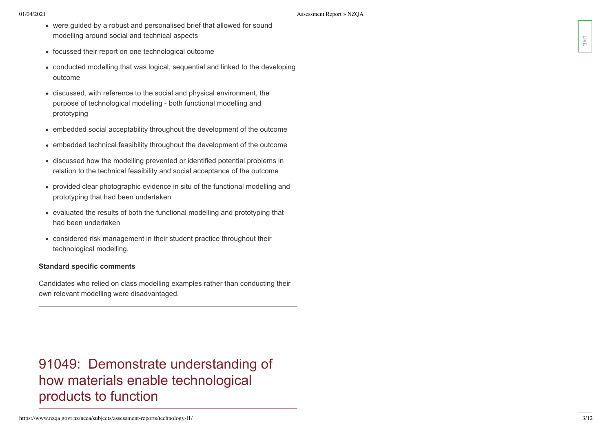- were guided by a robust and personalised brief that allowed for sound modelling around social and technical aspects
- focussed their report on one technological outcome
- conducted modelling that was logical, sequential and linked to the developing outcome
- discussed, with reference to the social and physical environment, the purpose of technological modelling - both functional modelling and prototyping
- embedded social acceptability throughout the development of the outcome
- embedded technical feasibility throughout the development of the outcome
- discussed how the modelling prevented or identified potential problems in relation to the technical feasibility and social acceptance of the outcome
- provided clear photographic evidence in situ of the functional modelling and prototyping that had been undertaken
- evaluated the results of both the functional modelling and prototyping that had been undertaken
- considered risk management in their student practice throughout their technological modelling.

### **Standard specific comments**

Candidates who relied on class modelling examples rather than conducting their own relevant modelling were disadvantaged.

91049: Demonstrate understanding of how materials enable technological products to function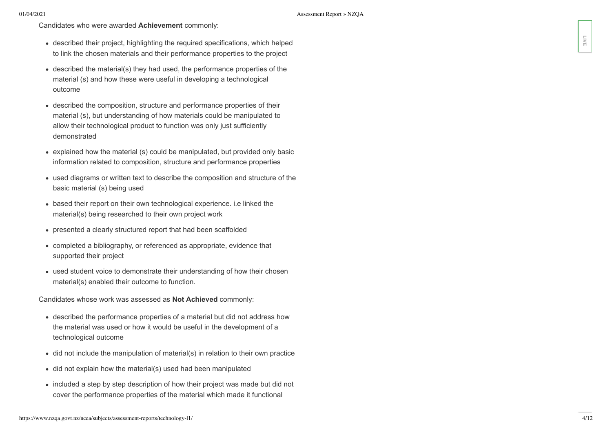- described their project, highlighting the required specifications, which helped to link the chosen materials and their performance properties to the project
- described the material(s) they had used, the performance properties of the material (s) and how these were useful in developing a technological outcome
- described the composition, structure and performance properties of their material (s), but understanding of how materials could be manipulated to allow their technological product to function was only just sufficiently demonstrated colescited free projects, highlighligh inter required specifications, which helpined the material of the material of the material of the material of the material of the material of the material of the material of the mater
- explained how the material (s) could be manipulated, but provided only basic information related to composition, structure and performance properties
- used diagrams or written text to describe the composition and structure of the basic material (s) being used
- based their report on their own technological experience. i.e linked the material(s) being researched to their own project work
- presented a clearly structured report that had been scaffolded
- completed a bibliography, or referenced as appropriate, evidence that supported their project
- used student voice to demonstrate their understanding of how their chosen material(s) enabled their outcome to function.

Candidates whose work was assessed as **Not Achieved** commonly:

- described the performance properties of a material but did not address how the material was used or how it would be useful in the development of a technological outcome
- did not include the manipulation of material(s) in relation to their own practice
- did not explain how the material(s) used had been manipulated
- included a step by step description of how their project was made but did not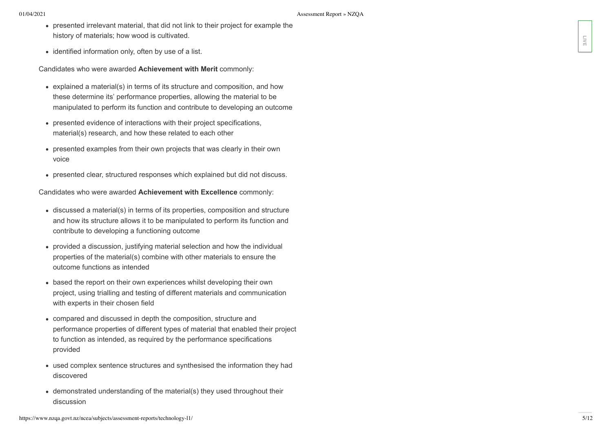- presented irrelevant material, that did not link to their project for example the history of materials; how wood is cultivated.
- identified information only, often by use of a list.

Candidates who were awarded **Achievement with Merit** commonly:

- explained a material(s) in terms of its structure and composition, and how these determine its' performance properties, allowing the material to be manipulated to perform its function and contribute to developing an outcome
- presented evidence of interactions with their project specifications, material(s) research, and how these related to each other
- presented examples from their own projects that was clearly in their own voice
- presented clear, structured responses which explained but did not discuss.

Candidates who were awarded **Achievement with Excellence** commonly:

- discussed a material(s) in terms of its properties, composition and structure and how its structure allows it to be manipulated to perform its function and contribute to developing a functioning outcome
- provided a discussion, justifying material selection and how the individual properties of the material(s) combine with other materials to ensure the outcome functions as intended
- based the report on their own experiences whilst developing their own project, using trialling and testing of different materials and communication with experts in their chosen field
- compared and discussed in depth the composition, structure and performance properties of different types of material that enabled their project to function as intended, as required by the performance specifications provided
- used complex sentence structures and synthesised the information they had discovered
- demonstrated understanding of the material(s) they used throughout their discussion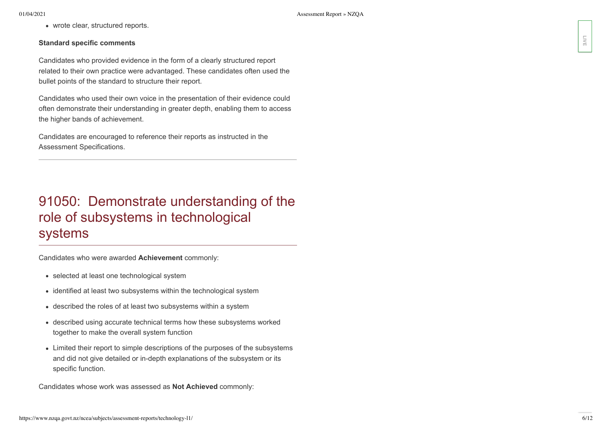• wrote clear, structured reports.

## **Standard specific comments**

Candidates who provided evidence in the form of a clearly structured report related to their own practice were advantaged. These candidates often used the bullet points of the standard to structure their report.

Candidates who used their own voice in the presentation of their evidence could often demonstrate their understanding in greater depth, enabling them to access the higher bands of achievement.

Candidates are encouraged to reference their reports as instructed in the Assessment Specifications.

# 91050: Demonstrate understanding of the role of subsystems in technological systems Standard specific comments<br>Candidates who provided evidence as its born of a clearly structured report<br>collect to the commonly commonly as a clearly three condidates who track the<br>Candidates who used their commonly in the

Candidates who were awarded **Achievement** commonly:

- selected at least one technological system
- identified at least two subsystems within the technological system
- described the roles of at least two subsystems within a system
- described using accurate technical terms how these subsystems worked together to make the overall system function
- Limited their report to simple descriptions of the purposes of the subsystems and did not give detailed or in-depth explanations of the subsystem or its specific function.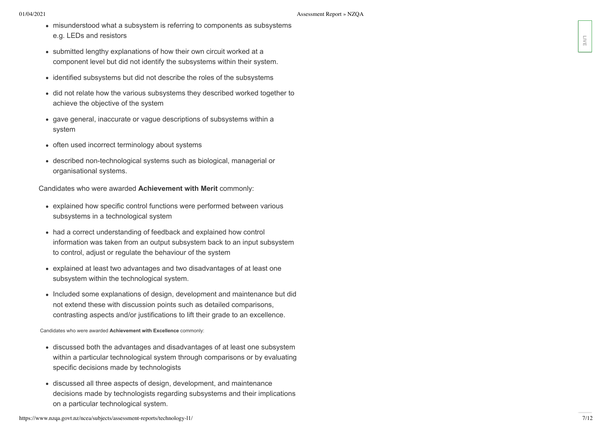- misunderstood what a subsystem is referring to components as subsystems e.g. LEDs and resistors
- submitted lengthy explanations of how their own circuit worked at a component level but did not identify the subsystems within their system.
- identified subsystems but did not describe the roles of the subsystems
- did not relate how the various subsystems they described worked together to achieve the objective of the system
- gave general, inaccurate or vague descriptions of subsystems within a system
- often used incorrect terminology about systems
- described non-technological systems such as biological, managerial or organisational systems.

Candidates who were awarded **Achievement with Merit** commonly:

- explained how specific control functions were performed between various subsystems in a technological system
- had a correct understanding of feedback and explained how control information was taken from an output subsystem back to an input subsystem to control, adjust or regulate the behaviour of the system on a chemical system of the version of the theoretic and the systems of the system.<br>
Submitted lengthy socialization of a discrete both the subset both main system.<br>
Composite control the system of a system of the subset o
- explained at least two advantages and two disadvantages of at least one subsystem within the technological system.
- Included some explanations of design, development and maintenance but did not extend these with discussion points such as detailed comparisons, contrasting aspects and/or justifications to lift their grade to an excellence.

Candidates who were awarded **Achievement with Excellence** commonly:

- discussed both the advantages and disadvantages of at least one subsystem within a particular technological system through comparisons or by evaluating specific decisions made by technologists
- discussed all three aspects of design, development, and maintenance decisions made by technologists regarding subsystems and their implications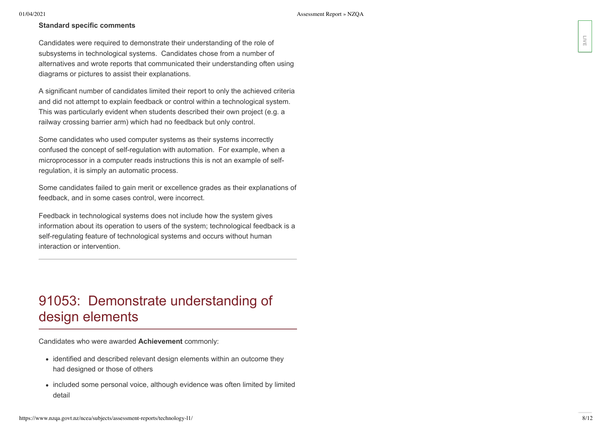## **Standard specific comments**

Candidates were required to demonstrate their understanding of the role of subsystems in technological systems. Candidates chose from a number of alternatives and wrote reports that communicated their understanding often using diagrams or pictures to assist their explanations.

A significant number of candidates limited their report to only the achieved criteria and did not attempt to explain feedback or control within a technological system. This was particularly evident when students described their own project (e.g. a railway crossing barrier arm) which had no feedback but only control. distribute use te required that demonstrates their understanding of the use of the constrained spheres in increase of the constrained their understanding offers using the constrained in the constrained their understanding

Some candidates who used computer systems as their systems incorrectly confused the concept of self-regulation with automation. For example, when a microprocessor in a computer reads instructions this is not an example of selfregulation, it is simply an automatic process.

Some candidates failed to gain merit or excellence grades as their explanations of feedback, and in some cases control, were incorrect.

Feedback in technological systems does not include how the system gives information about its operation to users of the system; technological feedback is a self-regulating feature of technological systems and occurs without human interaction or intervention.

# 91053: Demonstrate understanding of design elements

Candidates who were awarded **Achievement** commonly:

- identified and described relevant design elements within an outcome they had designed or those of others
- included some personal voice, although evidence was often limited by limited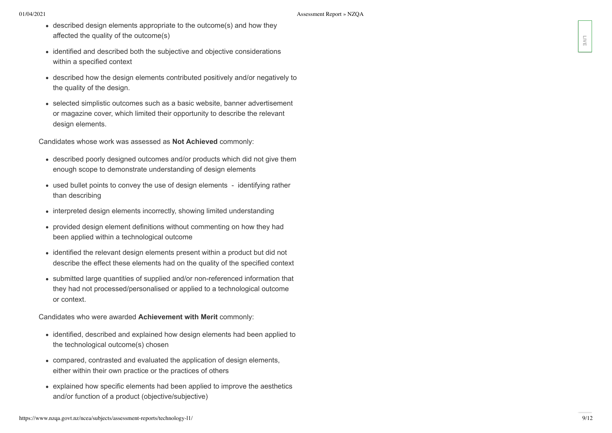- described design elements appropriate to the outcome(s) and how they affected the quality of the outcome(s)
- identified and described both the subjective and objective considerations within a specified context
- described how the design elements contributed positively and/or negatively to the quality of the design.
- selected simplistic outcomes such as a basic website, banner advertisement or magazine cover, which limited their opportunity to describe the relevant design elements.

Candidates whose work was assessed as **Not Achieved** commonly:

- described poorly designed outcomes and/or products which did not give them enough scope to demonstrate understanding of design elements
- used bullet points to convey the use of design elements identifying rather than describing
- interpreted design elements incorrectly, showing limited understanding
- provided design element definitions without commenting on how they had been applied within a technological outcome
- identified the relevant design elements present within a product but did not describe the effect these elements had on the quality of the specified context
- submitted large quantities of supplied and/or non-referenced information that they had not processed/personalised or applied to a technological outcome or context.

Candidates who were awarded **Achievement with Merit** commonly:

- identified, described and explained how design elements had been applied to the technological outcome(s) chosen
- compared, contrasted and evaluated the application of design elements, either within their own practice or the practices of others
- explained how specific elements had been applied to improve the aesthetics and/or function of a product (objective/subjective)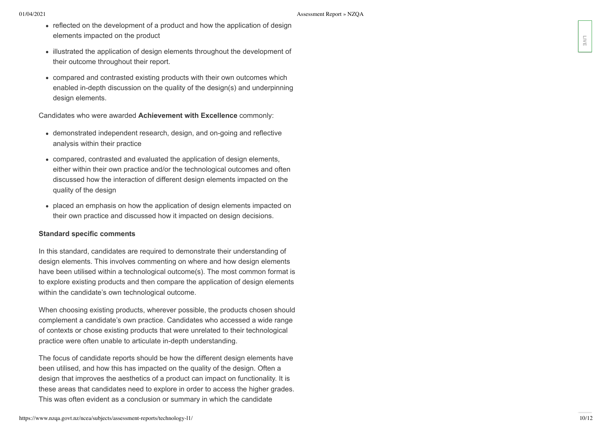- reflected on the development of a product and how the application of design elements impacted on the product
- illustrated the application of design elements throughout the development of their outcome throughout their report.
- compared and contrasted existing products with their own outcomes which enabled in-depth discussion on the quality of the design(s) and underpinning design elements.

Candidates who were awarded **Achievement with Excellence** commonly:

- demonstrated independent research, design, and on-going and reflective analysis within their practice
- compared, contrasted and evaluated the application of design elements, either within their own practice and/or the technological outcomes and often discussed how the interaction of different design elements impacted on the quality of the design
- placed an emphasis on how the application of design elements impacted on their own practice and discussed how it impacted on design decisions.

## **Standard specific comments**

In this standard, candidates are required to demonstrate their understanding of design elements. This involves commenting on where and how design elements have been utilised within a technological outcome(s). The most common format is to explore existing products and then compare the application of design elements within the candidate's own technological outcome.

When choosing existing products, wherever possible, the products chosen should complement a candidate's own practice. Candidates who accessed a wide range of contexts or chose existing products that were unrelated to their technological practice were often unable to articulate in-depth understanding.

The focus of candidate reports should be how the different design elements have been utilised, and how this has impacted on the quality of the design. Often a design that improves the aesthetics of a product can impact on functionality. It is these areas that candidates need to explore in order to access the higher grades. This was often evident as a conclusion or summary in which the candidate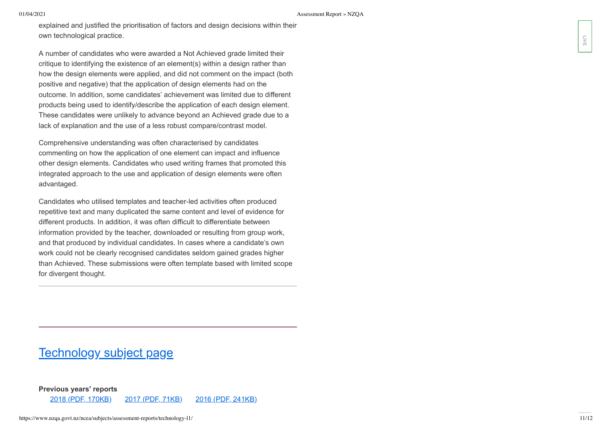explained and justified the prioritisation of factors and design decisions within their own technological practice.

A number of candidates who were awarded a Not Achieved grade limited their critique to identifying the existence of an element(s) within a design rather than how the design elements were applied, and did not comment on the impact (both positive and negative) that the application of design elements had on the outcome. In addition, some candidates' achievement was limited due to different products being used to identify/describe the application of each design element. These candidates were unlikely to advance beyond an Achieved grade due to a lack of explanation and the use of a less robust compare/contrast model.

Comprehensive understanding was often characterised by candidates commenting on how the application of one element can impact and influence other design elements. Candidates who used writing frames that promoted this integrated approach to the use and application of design elements were often advantaged.

Candidates who utilised templates and teacher-led activities often produced repetitive text and many duplicated the same content and level of evidence for different products. In addition, it was often difficult to differentiate between information provided by the teacher, downloaded or resulting from group work, and that produced by individual candidates. In cases where a candidate's own work could not be clearly recognised candidates seldom gained grades higher than Achieved. These submissions were often template based with limited scope for divergent thought.

# [Technology subject page](https://www.nzqa.govt.nz/ncea/subjects/technology/levels/)

**Previous years' reports**

2018 (PDF, [170KB\)](https://www.nzqa.govt.nz/assets/qualifications-and-standards/qualifications/ncea/Assessment-Reports/2018/TechnologyL1-report-2018.pdf) 2017 (PDF, [71KB\)](https://www.nzqa.govt.nz/assets/qualifications-and-standards/qualifications/ncea/Assessment-Reports/2017/technology-l1.pdf) 2016 (PDF, [241KB\)](https://www.nzqa.govt.nz/assets/qualifications-and-standards/qualifications/ncea/Assessment-Reports/TechnologyL1-report-2016.pdf)